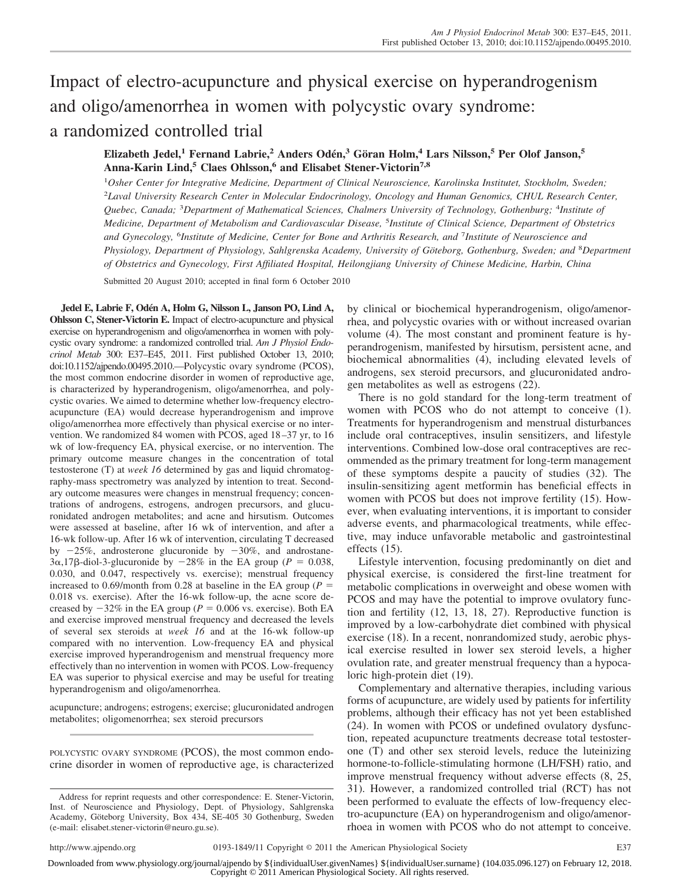# Impact of electro-acupuncture and physical exercise on hyperandrogenism and oligo/amenorrhea in women with polycystic ovary syndrome: a randomized controlled trial

# **Elizabeth Jedel,<sup>1</sup> Fernand Labrie,<sup>2</sup> Anders Odén,<sup>3</sup> Göran Holm,<sup>4</sup> Lars Nilsson,<sup>5</sup> Per Olof Janson,<sup>5</sup> Anna-Karin Lind,<sup>5</sup> Claes Ohlsson,<sup>6</sup> and Elisabet Stener-Victorin7,8**

1 *Osher Center for Integrative Medicine, Department of Clinical Neuroscience, Karolinska Institutet, Stockholm, Sweden;* 2 *Laval University Research Center in Molecular Endocrinology, Oncology and Human Genomics, CHUL Research Center, Quebec, Canada;* <sup>3</sup> *Department of Mathematical Sciences, Chalmers University of Technology, Gothenburg;* <sup>4</sup> *Institute of Medicine, Department of Metabolism and Cardiovascular Disease,* <sup>5</sup> *Institute of Clinical Science, Department of Obstetrics and Gynecology,* <sup>6</sup> *Institute of Medicine, Center for Bone and Arthritis Research, and* <sup>7</sup> *Institute of Neuroscience and Physiology, Department of Physiology, Sahlgrenska Academy, University of Göteborg, Gothenburg, Sweden; and* <sup>8</sup> *Department of Obstetrics and Gynecology, First Affiliated Hospital, Heilongjiang University of Chinese Medicine, Harbin, China*

Submitted 20 August 2010; accepted in final form 6 October 2010

**Jedel E, Labrie F, Odén A, Holm G, Nilsson L, Janson PO, Lind A, Ohlsson C, Stener-Victorin E.** Impact of electro-acupuncture and physical exercise on hyperandrogenism and oligo/amenorrhea in women with polycystic ovary syndrome: a randomized controlled trial. *Am J Physiol Endocrinol Metab* 300: E37–E45, 2011. First published October 13, 2010; doi:10.1152/ajpendo.00495.2010.—Polycystic ovary syndrome (PCOS), the most common endocrine disorder in women of reproductive age, is characterized by hyperandrogenism, oligo/amenorrhea, and polycystic ovaries. We aimed to determine whether low-frequency electroacupuncture (EA) would decrease hyperandrogenism and improve oligo/amenorrhea more effectively than physical exercise or no intervention. We randomized 84 women with PCOS, aged 18 –37 yr, to 16 wk of low-frequency EA, physical exercise, or no intervention. The primary outcome measure changes in the concentration of total testosterone (T) at *week 16* determined by gas and liquid chromatography-mass spectrometry was analyzed by intention to treat. Secondary outcome measures were changes in menstrual frequency; concentrations of androgens, estrogens, androgen precursors, and glucuronidated androgen metabolites; and acne and hirsutism. Outcomes were assessed at baseline, after 16 wk of intervention, and after a 16-wk follow-up. After 16 wk of intervention, circulating T decreased by  $-25\%$ , androsterone glucuronide by  $-30\%$ , and androstane- $3\alpha$ ,17 $\beta$ -diol-3-glucuronide by  $-28\%$  in the EA group ( $P = 0.038$ , 0.030, and 0.047, respectively vs. exercise); menstrual frequency increased to 0.69/month from 0.28 at baseline in the EA group ( $P =$ 0.018 vs. exercise). After the 16-wk follow-up, the acne score decreased by  $-32\%$  in the EA group ( $P = 0.006$  vs. exercise). Both EA and exercise improved menstrual frequency and decreased the levels of several sex steroids at *week 16* and at the 16-wk follow-up compared with no intervention. Low-frequency EA and physical exercise improved hyperandrogenism and menstrual frequency more effectively than no intervention in women with PCOS. Low-frequency EA was superior to physical exercise and may be useful for treating hyperandrogenism and oligo/amenorrhea.

acupuncture; androgens; estrogens; exercise; glucuronidated androgen metabolites; oligomenorrhea; sex steroid precursors

POLYCYSTIC OVARY SYNDROME (PCOS), the most common endocrine disorder in women of reproductive age, is characterized

Address for reprint requests and other correspondence: E. Stener-Victorin, Inst. of Neuroscience and Physiology, Dept. of Physiology, Sahlgrenska Academy, Göteborg University, Box 434, SE-405 30 Gothenburg, Sweden (e-mail: elisabet.stener-victorin@neuro.gu.se).

by clinical or biochemical hyperandrogenism, oligo/amenorrhea, and polycystic ovaries with or without increased ovarian volume (4). The most constant and prominent feature is hyperandrogenism, manifested by hirsutism, persistent acne, and biochemical abnormalities (4), including elevated levels of androgens, sex steroid precursors, and glucuronidated androgen metabolites as well as estrogens (22).

There is no gold standard for the long-term treatment of women with PCOS who do not attempt to conceive (1). Treatments for hyperandrogenism and menstrual disturbances include oral contraceptives, insulin sensitizers, and lifestyle interventions. Combined low-dose oral contraceptives are recommended as the primary treatment for long-term management of these symptoms despite a paucity of studies (32). The insulin-sensitizing agent metformin has beneficial effects in women with PCOS but does not improve fertility (15). However, when evaluating interventions, it is important to consider adverse events, and pharmacological treatments, while effective, may induce unfavorable metabolic and gastrointestinal effects (15).

Lifestyle intervention, focusing predominantly on diet and physical exercise, is considered the first-line treatment for metabolic complications in overweight and obese women with PCOS and may have the potential to improve ovulatory function and fertility (12, 13, 18, 27). Reproductive function is improved by a low-carbohydrate diet combined with physical exercise (18). In a recent, nonrandomized study, aerobic physical exercise resulted in lower sex steroid levels, a higher ovulation rate, and greater menstrual frequency than a hypocaloric high-protein diet (19).

Complementary and alternative therapies, including various forms of acupuncture, are widely used by patients for infertility problems, although their efficacy has not yet been established (24). In women with PCOS or undefined ovulatory dysfunction, repeated acupuncture treatments decrease total testosterone (T) and other sex steroid levels, reduce the luteinizing hormone-to-follicle-stimulating hormone (LH/FSH) ratio, and improve menstrual frequency without adverse effects (8, 25, 31). However, a randomized controlled trial (RCT) has not been performed to evaluate the effects of low-frequency electro-acupuncture (EA) on hyperandrogenism and oligo/amenorrhoea in women with PCOS who do not attempt to conceive.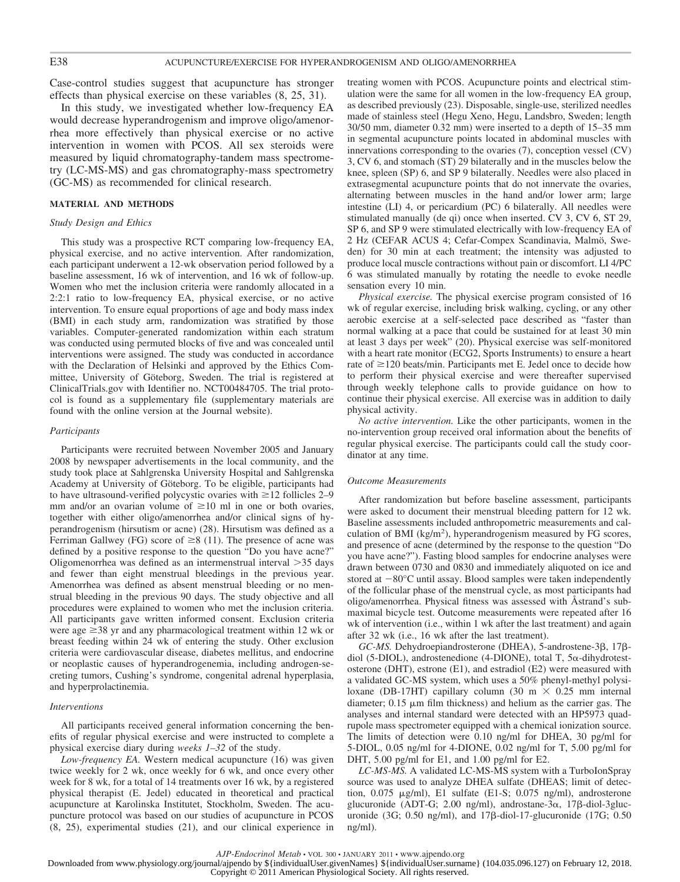Case-control studies suggest that acupuncture has stronger effects than physical exercise on these variables (8, 25, 31).

In this study, we investigated whether low-frequency EA would decrease hyperandrogenism and improve oligo/amenorrhea more effectively than physical exercise or no active intervention in women with PCOS. All sex steroids were measured by liquid chromatography-tandem mass spectrometry (LC-MS-MS) and gas chromatography-mass spectrometry (GC-MS) as recommended for clinical research.

# **MATERIAL AND METHODS**

### *Study Design and Ethics*

This study was a prospective RCT comparing low-frequency EA, physical exercise, and no active intervention. After randomization, each participant underwent a 12-wk observation period followed by a baseline assessment, 16 wk of intervention, and 16 wk of follow-up. Women who met the inclusion criteria were randomly allocated in a 2:2:1 ratio to low-frequency EA, physical exercise, or no active intervention. To ensure equal proportions of age and body mass index (BMI) in each study arm, randomization was stratified by those variables. Computer-generated randomization within each stratum was conducted using permuted blocks of five and was concealed until interventions were assigned. The study was conducted in accordance with the Declaration of Helsinki and approved by the Ethics Committee, University of Göteborg, Sweden. The trial is registered at ClinicalTrials.gov with Identifier no. NCT00484705. The trial protocol is found as a supplementary file (supplementary materials are found with the online version at the Journal website).

#### *Participants*

Participants were recruited between November 2005 and January 2008 by newspaper advertisements in the local community, and the study took place at Sahlgrenska University Hospital and Sahlgrenska Academy at University of Göteborg. To be eligible, participants had to have ultrasound-verified polycystic ovaries with  $\geq 12$  follicles 2–9 mm and/or an ovarian volume of  $\geq 10$  ml in one or both ovaries, together with either oligo/amenorrhea and/or clinical signs of hyperandrogenism (hirsutism or acne) (28). Hirsutism was defined as a Ferriman Gallwey (FG) score of  $\geq 8$  (11). The presence of acne was defined by a positive response to the question "Do you have acne?" Oligomenorrhea was defined as an intermenstrual interval 35 days and fewer than eight menstrual bleedings in the previous year. Amenorrhea was defined as absent menstrual bleeding or no menstrual bleeding in the previous 90 days. The study objective and all procedures were explained to women who met the inclusion criteria. All participants gave written informed consent. Exclusion criteria were age  $\geq$ 38 yr and any pharmacological treatment within 12 wk or breast feeding within 24 wk of entering the study. Other exclusion criteria were cardiovascular disease, diabetes mellitus, and endocrine or neoplastic causes of hyperandrogenemia, including androgen-secreting tumors, Cushing's syndrome, congenital adrenal hyperplasia, and hyperprolactinemia.

#### *Interventions*

All participants received general information concerning the benefits of regular physical exercise and were instructed to complete a physical exercise diary during *weeks 1–32* of the study.

*Low-frequency EA.* Western medical acupuncture (16) was given twice weekly for 2 wk, once weekly for 6 wk, and once every other week for 8 wk, for a total of 14 treatments over 16 wk, by a registered physical therapist (E. Jedel) educated in theoretical and practical acupuncture at Karolinska Institutet, Stockholm, Sweden. The acupuncture protocol was based on our studies of acupuncture in PCOS (8, 25), experimental studies (21), and our clinical experience in treating women with PCOS. Acupuncture points and electrical stimulation were the same for all women in the low-frequency EA group, as described previously (23). Disposable, single-use, sterilized needles made of stainless steel (Hegu Xeno, Hegu, Landsbro, Sweden; length 30/50 mm, diameter 0.32 mm) were inserted to a depth of 15–35 mm in segmental acupuncture points located in abdominal muscles with innervations corresponding to the ovaries (7), conception vessel (CV) 3, CV 6, and stomach (ST) 29 bilaterally and in the muscles below the knee, spleen (SP) 6, and SP 9 bilaterally. Needles were also placed in extrasegmental acupuncture points that do not innervate the ovaries, alternating between muscles in the hand and/or lower arm; large intestine (LI) 4, or pericardium (PC) 6 bilaterally. All needles were stimulated manually (de qi) once when inserted. CV 3, CV 6, ST 29, SP 6, and SP 9 were stimulated electrically with low-frequency EA of 2 Hz (CEFAR ACUS 4; Cefar-Compex Scandinavia, Malmö, Sweden) for 30 min at each treatment; the intensity was adjusted to produce local muscle contractions without pain or discomfort. LI 4/PC 6 was stimulated manually by rotating the needle to evoke needle sensation every 10 min.

*Physical exercise.* The physical exercise program consisted of 16 wk of regular exercise, including brisk walking, cycling, or any other aerobic exercise at a self-selected pace described as "faster than normal walking at a pace that could be sustained for at least 30 min at least 3 days per week" (20). Physical exercise was self-monitored with a heart rate monitor (ECG2, Sports Instruments) to ensure a heart rate of  $\geq$ 120 beats/min. Participants met E. Jedel once to decide how to perform their physical exercise and were thereafter supervised through weekly telephone calls to provide guidance on how to continue their physical exercise. All exercise was in addition to daily physical activity.

*No active intervention.* Like the other participants, women in the no-intervention group received oral information about the benefits of regular physical exercise. The participants could call the study coordinator at any time.

### *Outcome Measurements*

After randomization but before baseline assessment, participants were asked to document their menstrual bleeding pattern for 12 wk. Baseline assessments included anthropometric measurements and calculation of BMI (kg/m<sup>2</sup>), hyperandrogenism measured by FG scores, and presence of acne (determined by the response to the question "Do you have acne?"). Fasting blood samples for endocrine analyses were drawn between 0730 and 0830 and immediately aliquoted on ice and stored at  $-80^{\circ}$ C until assay. Blood samples were taken independently of the follicular phase of the menstrual cycle, as most participants had oligo/amenorrhea. Physical fitness was assessed with Åstrand's submaximal bicycle test. Outcome measurements were repeated after 16 wk of intervention (i.e., within 1 wk after the last treatment) and again after 32 wk (i.e., 16 wk after the last treatment).

*GC-MS.* Dehydroepiandrosterone (DHEA), 5-androstene-3β, 17βdiol (5-DIOL), androstenedione (4-DIONE), total T,  $5\alpha$ -dihydrotestosterone (DHT), estrone (E1), and estradiol (E2) were measured with a validated GC-MS system, which uses a 50% phenyl-methyl polysiloxane (DB-17HT) capillary column (30 m  $\times$  0.25 mm internal diameter;  $0.15 \mu m$  film thickness) and helium as the carrier gas. The analyses and internal standard were detected with an HP5973 quadrupole mass spectrometer equipped with a chemical ionization source. The limits of detection were 0.10 ng/ml for DHEA, 30 pg/ml for 5-DIOL, 0.05 ng/ml for 4-DIONE, 0.02 ng/ml for T, 5.00 pg/ml for DHT, 5.00 pg/ml for E1, and 1.00 pg/ml for E2.

*LC-MS-MS.* A validated LC-MS-MS system with a TurboIonSpray source was used to analyze DHEA sulfate (DHEAS; limit of detection,  $0.075 \mu g/ml$ , E1 sulfate (E1-S;  $0.075 \text{ ng/ml}$ ), androsterone glucuronide (ADT-G; 2.00 ng/ml), androstane-3 $\alpha$ , 17 $\beta$ -diol-3glucuronide (3G; 0.50 ng/ml), and  $17\beta$ -diol-17-glucuronide (17G; 0.50 ng/ml).

Downloaded from www.physiology.org/journal/ajpendo by \${individualUser.givenNames} \${individualUser.surname} (104.035.096.127) on February 12, 2018.

*AJP-Endocrinol Metab* • VOL 300 • JANUARY 2011 • www.ajpendo.org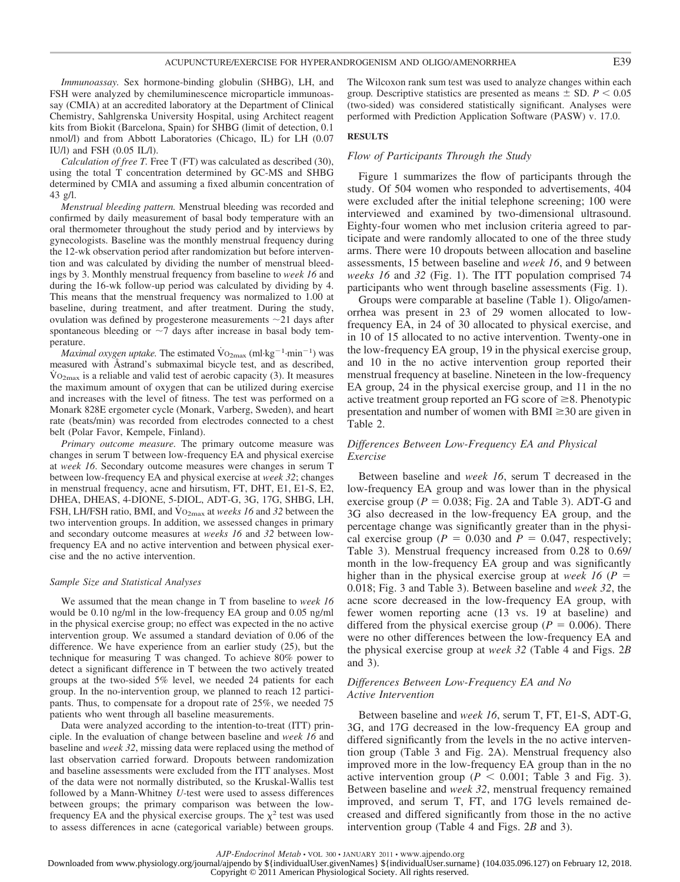*Immunoassay.* Sex hormone-binding globulin (SHBG), LH, and FSH were analyzed by chemiluminescence microparticle immunoassay (CMIA) at an accredited laboratory at the Department of Clinical Chemistry, Sahlgrenska University Hospital, using Architect reagent kits from Biokit (Barcelona, Spain) for SHBG (limit of detection, 0.1 nmol/l) and from Abbott Laboratories (Chicago, IL) for LH (0.07 IU/l) and FSH (0.05 IL/l).

*Calculation of free T.* Free T (FT) was calculated as described (30), using the total T concentration determined by GC-MS and SHBG determined by CMIA and assuming a fixed albumin concentration of 43 g/l.

*Menstrual bleeding pattern.* Menstrual bleeding was recorded and confirmed by daily measurement of basal body temperature with an oral thermometer throughout the study period and by interviews by gynecologists. Baseline was the monthly menstrual frequency during the 12-wk observation period after randomization but before intervention and was calculated by dividing the number of menstrual bleedings by 3. Monthly menstrual frequency from baseline to *week 16* and during the 16-wk follow-up period was calculated by dividing by 4. This means that the menstrual frequency was normalized to 1.00 at baseline, during treatment, and after treatment. During the study, ovulation was defined by progesterone measurements  $\sim$ 21 days after spontaneous bleeding or  $\sim$ 7 days after increase in basal body temperature.

*Maximal oxygen uptake.* The estimated  $\dot{V}_{O2max}$  (ml·kg<sup>-1</sup>·min<sup>-1</sup>) was measured with Åstrand's submaximal bicycle test, and as described,  $\rm{Vo_{2max}}$  is a reliable and valid test of aerobic capacity (3). It measures the maximum amount of oxygen that can be utilized during exercise and increases with the level of fitness. The test was performed on a Monark 828E ergometer cycle (Monark, Varberg, Sweden), and heart rate (beats/min) was recorded from electrodes connected to a chest belt (Polar Favor, Kempele, Finland).

*Primary outcome measure.* The primary outcome measure was changes in serum T between low-frequency EA and physical exercise at *week 16*. Secondary outcome measures were changes in serum T between low-frequency EA and physical exercise at *week 32*; changes in menstrual frequency, acne and hirsutism, FT, DHT, E1, E1-S, E2, DHEA, DHEAS, 4-DIONE, 5-DIOL, ADT-G, 3G, 17G, SHBG, LH, FSH, LH/FSH ratio, BMI, and Vo<sub>2max</sub> at *weeks 16* and 32 between the two intervention groups. In addition, we assessed changes in primary and secondary outcome measures at *weeks 16* and *32* between lowfrequency EA and no active intervention and between physical exercise and the no active intervention.

### *Sample Size and Statistical Analyses*

We assumed that the mean change in T from baseline to *week 16* would be 0.10 ng/ml in the low-frequency EA group and 0.05 ng/ml in the physical exercise group; no effect was expected in the no active intervention group. We assumed a standard deviation of 0.06 of the difference. We have experience from an earlier study (25), but the technique for measuring T was changed. To achieve 80% power to detect a significant difference in T between the two actively treated groups at the two-sided 5% level, we needed 24 patients for each group. In the no-intervention group, we planned to reach 12 participants. Thus, to compensate for a dropout rate of 25%, we needed 75 patients who went through all baseline measurements.

Data were analyzed according to the intention-to-treat (ITT) principle. In the evaluation of change between baseline and *week 16* and baseline and *week 32*, missing data were replaced using the method of last observation carried forward. Dropouts between randomization and baseline assessments were excluded from the ITT analyses. Most of the data were not normally distributed, so the Kruskal-Wallis test followed by a Mann-Whitney *U-*test were used to assess differences between groups; the primary comparison was between the lowfrequency EA and the physical exercise groups. The  $\chi^2$  test was used to assess differences in acne (categorical variable) between groups. The Wilcoxon rank sum test was used to analyze changes within each group. Descriptive statistics are presented as means  $\pm$  SD.  $P < 0.05$ (two-sided) was considered statistically significant. Analyses were performed with Prediction Application Software (PASW) v. 17.0.

### **RESULTS**

### *Flow of Participants Through the Study*

Figure 1 summarizes the flow of participants through the study. Of 504 women who responded to advertisements, 404 were excluded after the initial telephone screening; 100 were interviewed and examined by two-dimensional ultrasound. Eighty-four women who met inclusion criteria agreed to participate and were randomly allocated to one of the three study arms. There were 10 dropouts between allocation and baseline assessments, 15 between baseline and *week 16*, and 9 between *weeks 16* and *32* (Fig. 1). The ITT population comprised 74 participants who went through baseline assessments (Fig. 1).

Groups were comparable at baseline (Table 1). Oligo/amenorrhea was present in 23 of 29 women allocated to lowfrequency EA, in 24 of 30 allocated to physical exercise, and in 10 of 15 allocated to no active intervention. Twenty-one in the low-frequency EA group, 19 in the physical exercise group, and 10 in the no active intervention group reported their menstrual frequency at baseline. Nineteen in the low-frequency EA group, 24 in the physical exercise group, and 11 in the no active treatment group reported an FG score of  $\geq 8$ . Phenotypic presentation and number of women with BMI  $\geq$ 30 are given in Table 2.

## *Differences Between Low-Frequency EA and Physical Exercise*

Between baseline and *week 16*, serum T decreased in the low-frequency EA group and was lower than in the physical exercise group ( $P = 0.038$ ; Fig. 2A and Table 3). ADT-G and 3G also decreased in the low-frequency EA group, and the percentage change was significantly greater than in the physical exercise group ( $P = 0.030$  and  $P = 0.047$ , respectively; Table 3). Menstrual frequency increased from 0.28 to 0.69/ month in the low-frequency EA group and was significantly higher than in the physical exercise group at *week 16* (*P* 0.018; Fig. 3 and Table 3). Between baseline and *week 32*, the acne score decreased in the low-frequency EA group, with fewer women reporting acne (13 vs. 19 at baseline) and differed from the physical exercise group ( $P = 0.006$ ). There were no other differences between the low-frequency EA and the physical exercise group at *week 32* (Table 4 and Figs. 2*B* and 3).

### *Differences Between Low-Frequency EA and No Active Intervention*

Between baseline and *week 16*, serum T, FT, E1-S, ADT-G, 3G, and 17G decreased in the low-frequency EA group and differed significantly from the levels in the no active intervention group (Table 3 and Fig. 2A). Menstrual frequency also improved more in the low-frequency EA group than in the no active intervention group ( $P < 0.001$ ; Table 3 and Fig. 3). Between baseline and *week 32*, menstrual frequency remained improved, and serum T, FT, and 17G levels remained decreased and differed significantly from those in the no active intervention group (Table 4 and Figs. 2*B* and 3).

*AJP-Endocrinol Metab* • VOL 300 • JANUARY 2011 • www.ajpendo.org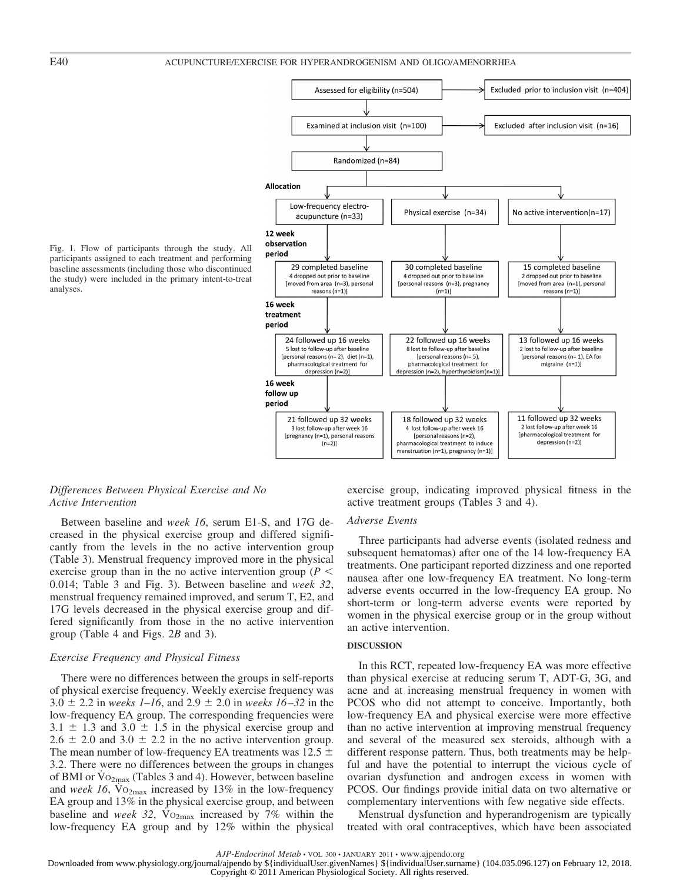



# *Differences Between Physical Exercise and No Active Intervention*

Between baseline and *week 16*, serum E1-S, and 17G decreased in the physical exercise group and differed significantly from the levels in the no active intervention group (Table 3). Menstrual frequency improved more in the physical exercise group than in the no active intervention group ( $P \leq$ 0.014; Table 3 and Fig. 3). Between baseline and *week 32*, menstrual frequency remained improved, and serum T, E2, and 17G levels decreased in the physical exercise group and differed significantly from those in the no active intervention group (Table 4 and Figs. 2*B* and 3).

### *Exercise Frequency and Physical Fitness*

There were no differences between the groups in self-reports of physical exercise frequency. Weekly exercise frequency was 3.0 2.2 in *weeks 1–16*, and 2.9 2.0 in *weeks 16–32* in the low-frequency EA group. The corresponding frequencies were  $3.1 \pm 1.3$  and  $3.0 \pm 1.5$  in the physical exercise group and  $2.6 \pm 2.0$  and  $3.0 \pm 2.2$  in the no active intervention group. The mean number of low-frequency EA treatments was 12.5  $\pm$ 3.2. There were no differences between the groups in changes of BMI or  $\mathrm{Vo}_{2\text{max}}$  (Tables 3 and 4). However, between baseline and *week 16*,  $\rm{Vo_{2max}}$  increased by 13% in the low-frequency EA group and 13% in the physical exercise group, and between baseline and *week* 32,  $\overline{V}o_{2max}$  increased by 7% within the low-frequency EA group and by 12% within the physical exercise group, indicating improved physical fitness in the active treatment groups (Tables 3 and 4).

## *Adverse Events*

Three participants had adverse events (isolated redness and subsequent hematomas) after one of the 14 low-frequency EA treatments. One participant reported dizziness and one reported nausea after one low-frequency EA treatment. No long-term adverse events occurred in the low-frequency EA group. No short-term or long-term adverse events were reported by women in the physical exercise group or in the group without an active intervention.

# **DISCUSSION**

In this RCT, repeated low-frequency EA was more effective than physical exercise at reducing serum T, ADT-G, 3G, and acne and at increasing menstrual frequency in women with PCOS who did not attempt to conceive. Importantly, both low-frequency EA and physical exercise were more effective than no active intervention at improving menstrual frequency and several of the measured sex steroids, although with a different response pattern. Thus, both treatments may be helpful and have the potential to interrupt the vicious cycle of ovarian dysfunction and androgen excess in women with PCOS. Our findings provide initial data on two alternative or complementary interventions with few negative side effects.

Menstrual dysfunction and hyperandrogenism are typically treated with oral contraceptives, which have been associated

Downloaded from www.physiology.org/journal/ajpendo by \${individualUser.givenNames} \${individualUser.surname} (104.035.096.127) on February 12, 2018.

*AJP-Endocrinol Metab* • VOL 300 • JANUARY 2011 • www.ajpendo.org

Copyright © 2011 American Physiological Society. All rights reserved.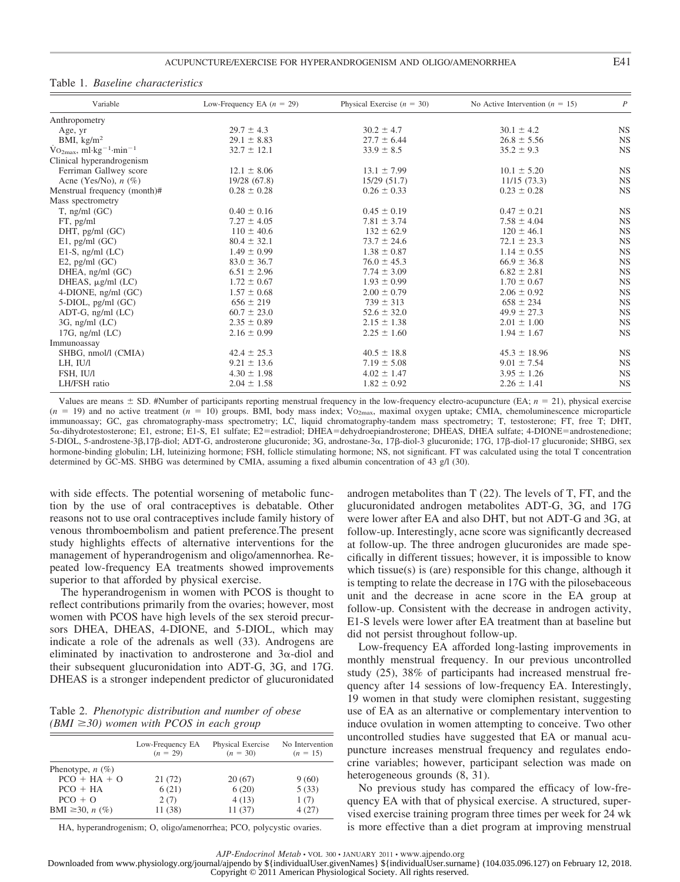### Table 1. *Baseline characteristics*

| Variable                                                    | Low-Frequency EA $(n = 29)$ | Physical Exercise $(n = 30)$ | No Active Intervention ( $n = 15$ ) | $\boldsymbol{P}$ |
|-------------------------------------------------------------|-----------------------------|------------------------------|-------------------------------------|------------------|
| Anthropometry                                               |                             |                              |                                     |                  |
| Age, yr                                                     | $29.7 \pm 4.3$              | $30.2 \pm 4.7$               | $30.1 \pm 4.2$                      | <b>NS</b>        |
| BMI, $\text{kg/m}^2$                                        | $29.1 \pm 8.83$             | $27.7 \pm 6.44$              | $26.8 \pm 5.56$                     | <b>NS</b>        |
| $\rm V_{O_{2max}}$ , ml·kg <sup>-1</sup> ·min <sup>-1</sup> | $32.7 \pm 12.1$             | $33.9 \pm 8.5$               | $35.2 \pm 9.3$                      | <b>NS</b>        |
| Clinical hyperandrogenism                                   |                             |                              |                                     |                  |
| Ferriman Gallwey score                                      | $12.1 \pm 8.06$             | $13.1 \pm 7.99$              | $10.1 \pm 5.20$                     | <b>NS</b>        |
| Acne (Yes/No), $n$ (%)                                      | 19/28 (67.8)                | 15/29(51.7)                  | 11/15(73.3)                         | <b>NS</b>        |
| Menstrual frequency (month)#                                | $0.28 \pm 0.28$             | $0.26 \pm 0.33$              | $0.23 \pm 0.28$                     | <b>NS</b>        |
| Mass spectrometry                                           |                             |                              |                                     |                  |
| $T$ , ng/ml $(GC)$                                          | $0.40 \pm 0.16$             | $0.45 \pm 0.19$              | $0.47 \pm 0.21$                     | <b>NS</b>        |
| FT, pg/ml                                                   | $7.27 \pm 4.05$             | $7.81 \pm 3.74$              | $7.58 \pm 4.04$                     | $_{\rm NS}$      |
| DHT, $pg/ml$ (GC)                                           | $110 \pm 40.6$              | $132 \pm 62.9$               | $120 \pm 46.1$                      | <b>NS</b>        |
| $E1$ , pg/ml $(GC)$                                         | $80.4 \pm 32.1$             | $73.7 \pm 24.6$              | $72.1 \pm 23.3$                     | <b>NS</b>        |
| $E1-S$ , ng/ml $(LC)$                                       | $1.49 \pm 0.99$             | $1.38 \pm 0.87$              | $1.14 \pm 0.55$                     | <b>NS</b>        |
| $E2$ , pg/ml $(GC)$                                         | $83.0 \pm 36.7$             | $76.0 \pm 45.3$              | $66.9 \pm 36.8$                     | <b>NS</b>        |
| DHEA, ng/ml (GC)                                            | $6.51 \pm 2.96$             | $7.74 \pm 3.09$              | $6.82 \pm 2.81$                     | <b>NS</b>        |
| DHEAS, $\mu$ g/ml (LC)                                      | $1.72 \pm 0.67$             | $1.93 \pm 0.99$              | $1.70 \pm 0.67$                     | <b>NS</b>        |
| 4-DIONE, ng/ml (GC)                                         | $1.57 \pm 0.68$             | $2.00 \pm 0.79$              | $2.06 \pm 0.92$                     | <b>NS</b>        |
| 5-DIOL, pg/ml (GC)                                          | $656 \pm 219$               | $739 \pm 313$                | $658 \pm 234$                       | <b>NS</b>        |
| ADT-G, $ng/ml$ (LC)                                         | $60.7 \pm 23.0$             | $52.6 \pm 32.0$              | $49.9 \pm 27.3$                     | <b>NS</b>        |
| $3G$ , ng/ml $(LC)$                                         | $2.35 \pm 0.89$             | $2.15 \pm 1.38$              | $2.01 \pm 1.00$                     | <b>NS</b>        |
| 17G, ng/ml $(LC)$                                           | $2.16 \pm 0.99$             | $2.25 \pm 1.60$              | $1.94 \pm 1.67$                     | $_{\rm NS}$      |
| Immunoassay                                                 |                             |                              |                                     |                  |
| SHBG, nmol/l (CMIA)                                         | $42.4 \pm 25.3$             | $40.5 \pm 18.8$              | $45.3 \pm 18.96$                    | <b>NS</b>        |
| LH, IU/l                                                    | $9.21 \pm 13.6$             | $7.19 \pm 5.08$              | $9.01 \pm 7.54$                     | NS               |
| FSH, IU/I                                                   | $4.30 \pm 1.98$             | $4.02 \pm 1.47$              | $3.95 \pm 1.26$                     | <b>NS</b>        |
| LH/FSH ratio                                                | $2.04 \pm 1.58$             | $1.82 \pm 0.92$              | $2.26 \pm 1.41$                     | <b>NS</b>        |

Values are means  $\pm$  SD. #Number of participants reporting menstrual frequency in the low-frequency electro-acupuncture (EA;  $n = 21$ ), physical exercise  $(n = 19)$  and no active treatment  $(n = 10)$  groups. BMI, body mass index; VO<sub>2max</sub>, maximal oxygen uptake; CMIA, chemoluminescence microparticle immunoassay; GC, gas chromatography-mass spectrometry; LC, liquid chromatography-tandem mass spectrometry; T, testosterone; FT, free T; DHT, 5a-dihydrotestosterone; E1, estrone; E1-S, E1 sulfate; E2=estradiol; DHEA=dehydroepiandrosterone; DHEAS, DHEA sulfate; 4-DIONE=androstenedione; 5-DIOL, 5-androstene-3β,17β-diol; ADT-G, androsterone glucuronide; 3G, androstane-3α, 17β-diol-3 glucuronide; 17G, 17β-diol-17 glucuronide; SHBG, sex hormone-binding globulin; LH, luteinizing hormone; FSH, follicle stimulating hormone; NS, not significant. FT was calculated using the total T concentration determined by GC-MS. SHBG was determined by CMIA, assuming a fixed albumin concentration of 43 g/l (30).

with side effects. The potential worsening of metabolic function by the use of oral contraceptives is debatable. Other reasons not to use oral contraceptives include family history of venous thromboembolism and patient preference.The present study highlights effects of alternative interventions for the management of hyperandrogenism and oligo/amennorhea. Repeated low-frequency EA treatments showed improvements superior to that afforded by physical exercise.

The hyperandrogenism in women with PCOS is thought to reflect contributions primarily from the ovaries; however, most women with PCOS have high levels of the sex steroid precursors DHEA, DHEAS, 4-DIONE, and 5-DIOL, which may indicate a role of the adrenals as well (33). Androgens are eliminated by inactivation to androsterone and  $3\alpha$ -diol and their subsequent glucuronidation into ADT-G, 3G, and 17G. DHEAS is a stronger independent predictor of glucuronidated

| Table 2. Phenotypic distribution and number of obese |  |  |
|------------------------------------------------------|--|--|
| $(BMI \geq 30)$ women with PCOS in each group        |  |  |

|                          | Low-Frequency EA<br>$(n = 29)$ | Physical Exercise<br>$(n = 30)$ | No Intervention<br>$(n = 15)$ |
|--------------------------|--------------------------------|---------------------------------|-------------------------------|
| Phenotype, $n$ (%)       |                                |                                 |                               |
| $PCO + HA + O$           | 21(72)                         | 20(67)                          | 9(60)                         |
| $PCO + HA$               | 6(21)                          | 6(20)                           | 5(33)                         |
| $PCO + O$                | 2(7)                           | 4(13)                           | 1(7)                          |
| BMI $\geq 30$ , n $(\%)$ | 11 (38)                        | 11(37)                          | 4(27)                         |

HA, hyperandrogenism; O, oligo/amenorrhea; PCO, polycystic ovaries.

androgen metabolites than T (22). The levels of T, FT, and the glucuronidated androgen metabolites ADT-G, 3G, and 17G were lower after EA and also DHT, but not ADT-G and 3G, at follow-up. Interestingly, acne score was significantly decreased at follow-up. The three androgen glucuronides are made specifically in different tissues; however, it is impossible to know which tissue(s) is (are) responsible for this change, although it is tempting to relate the decrease in 17G with the pilosebaceous unit and the decrease in acne score in the EA group at follow-up. Consistent with the decrease in androgen activity, E1-S levels were lower after EA treatment than at baseline but did not persist throughout follow-up.

Low-frequency EA afforded long-lasting improvements in monthly menstrual frequency. In our previous uncontrolled study (25), 38% of participants had increased menstrual frequency after 14 sessions of low-frequency EA. Interestingly, 19 women in that study were clomiphen resistant, suggesting use of EA as an alternative or complementary intervention to induce ovulation in women attempting to conceive. Two other uncontrolled studies have suggested that EA or manual acupuncture increases menstrual frequency and regulates endocrine variables; however, participant selection was made on heterogeneous grounds (8, 31).

No previous study has compared the efficacy of low-frequency EA with that of physical exercise. A structured, supervised exercise training program three times per week for 24 wk is more effective than a diet program at improving menstrual

*AJP-Endocrinol Metab* • VOL 300 • JANUARY 2011 • www.ajpendo.org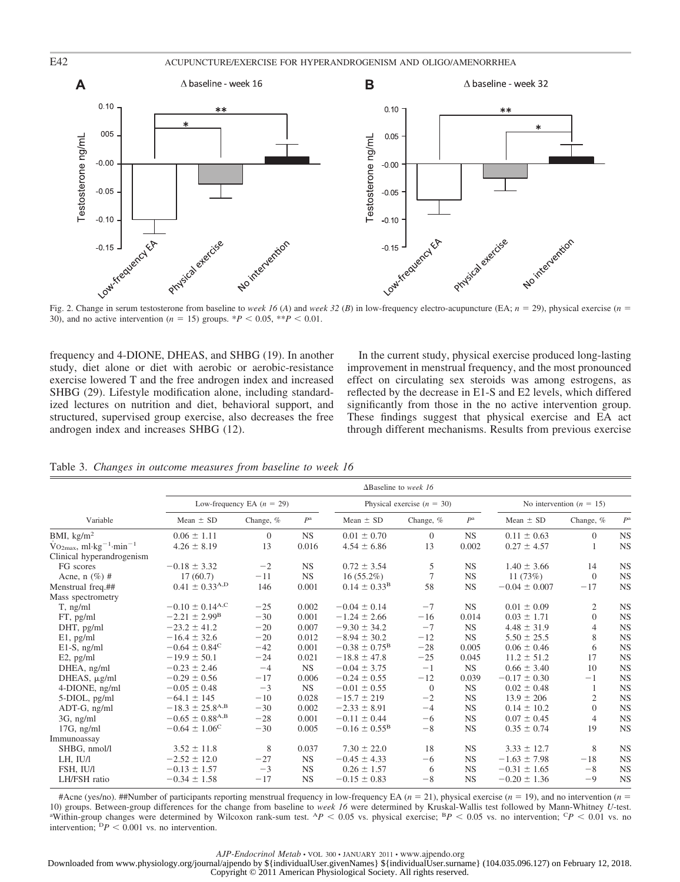

30), and no active intervention ( $n = 15$ ) groups. \* $P < 0.05$ , \*\* $P < 0.01$ .

frequency and 4-DIONE, DHEAS, and SHBG (19). In another study, diet alone or diet with aerobic or aerobic-resistance exercise lowered T and the free androgen index and increased SHBG (29). Lifestyle modification alone, including standardized lectures on nutrition and diet, behavioral support, and structured, supervised group exercise, also decreases the free androgen index and increases SHBG (12).

In the current study, physical exercise produced long-lasting improvement in menstrual frequency, and the most pronounced effect on circulating sex steroids was among estrogens, as reflected by the decrease in E1-S and E2 levels, which differed significantly from those in the no active intervention group. These findings suggest that physical exercise and EA act through different mechanisms. Results from previous exercise

Table 3. *Changes in outcome measures from baseline to week 16*

|                                                                      | $\Delta$ Baseline to week 16    |                |             |                              |                |             |                            |                |             |
|----------------------------------------------------------------------|---------------------------------|----------------|-------------|------------------------------|----------------|-------------|----------------------------|----------------|-------------|
| Variable                                                             | Low-frequency EA $(n = 29)$     |                |             | Physical exercise $(n = 30)$ |                |             | No intervention $(n = 15)$ |                |             |
|                                                                      | Mean $\pm$ SD                   | Change, %      | $P^{\rm a}$ | Mean $\pm$ SD                | Change, %      | $P^{\rm a}$ | Mean $\pm$ SD              | Change, %      | $P^{\rm a}$ |
| BMI, $kg/m2$                                                         | $0.06 \pm 1.11$                 | $\overline{0}$ | <b>NS</b>   | $0.01 \pm 0.70$              | $\overline{0}$ | <b>NS</b>   | $0.11 \pm 0.63$            | $\Omega$       | <b>NS</b>   |
| $\mathrm{Vo}_{2\text{max}}$ , ml·kg <sup>-1</sup> ·min <sup>-1</sup> | $4.26 \pm 8.19$                 | 13             | 0.016       | $4.54 \pm 6.86$              | 13             | 0.002       | $0.27 \pm 4.57$            | 1              | <b>NS</b>   |
| Clinical hyperandrogenism                                            |                                 |                |             |                              |                |             |                            |                |             |
| FG scores                                                            | $-0.18 \pm 3.32$                | $-2$           | <b>NS</b>   | $0.72 \pm 3.54$              | 5              | <b>NS</b>   | $1.40 \pm 3.66$            | 14             | <b>NS</b>   |
| Acne, $n$ (%) #                                                      | 17(60.7)                        | $-11$          | <b>NS</b>   | $16(55.2\%)$                 | $\tau$         | <b>NS</b>   | 11(73%)                    | $\Omega$       | <b>NS</b>   |
| Menstrual freq.##                                                    | $0.41 \pm 0.33$ <sup>A,D</sup>  | 146            | 0.001       | $0.14 \pm 0.33^{\rm B}$      | 58             | <b>NS</b>   | $-0.04 \pm 0.007$          | $-17$          | <b>NS</b>   |
| Mass spectrometry                                                    |                                 |                |             |                              |                |             |                            |                |             |
| $T$ , ng/ml                                                          | $-0.10 \pm 0.14$ <sup>A,C</sup> | $-25$          | 0.002       | $-0.04 \pm 0.14$             | $-7$           | <b>NS</b>   | $0.01 \pm 0.09$            | 2              | <b>NS</b>   |
| FT, pg/ml                                                            | $-2.21 \pm 2.99^{\rm B}$        | $-30$          | 0.001       | $-1.24 \pm 2.66$             | $-16$          | 0.014       | $0.03 \pm 1.71$            | $\overline{0}$ | <b>NS</b>   |
| DHT, pg/ml                                                           | $-23.2 \pm 41.2$                | $-20$          | 0.007       | $-9.30 \pm 34.2$             | $-7$           | <b>NS</b>   | $4.48 \pm 31.9$            | $\overline{4}$ | <b>NS</b>   |
| $E1$ , pg/ml                                                         | $-16.4 \pm 32.6$                | $-20$          | 0.012       | $-8.94 \pm 30.2$             | $-12$          | <b>NS</b>   | $5.50 \pm 25.5$            | 8              | <b>NS</b>   |
| $E1-S$ , ng/ml                                                       | $-0.64 \pm 0.84^{\circ}$        | $-42$          | 0.001       | $-0.38 \pm 0.75^{\rm B}$     | $-28$          | 0.005       | $0.06 \pm 0.46$            | 6              | <b>NS</b>   |
| $E2$ , pg/ml                                                         | $-19.9 \pm 50.1$                | $-24$          | 0.021       | $-18.8 \pm 47.8$             | $-25$          | 0.045       | $11.2 \pm 51.2$            | 17             | <b>NS</b>   |
| DHEA, ng/ml                                                          | $-0.23 \pm 2.46$                | $-4$           | <b>NS</b>   | $-0.04 \pm 3.75$             | $-1$           | <b>NS</b>   | $0.66 \pm 3.40$            | 10             | <b>NS</b>   |
| DHEAS, µg/ml                                                         | $-0.29 \pm 0.56$                | $-17$          | 0.006       | $-0.24 \pm 0.55$             | $-12$          | 0.039       | $-0.17 \pm 0.30$           | $-1$           | <b>NS</b>   |
| 4-DIONE, ng/ml                                                       | $-0.05 \pm 0.48$                | $-3$           | <b>NS</b>   | $-0.01 \pm 0.55$             | $\overline{0}$ | <b>NS</b>   | $0.02 \pm 0.48$            | 1              | <b>NS</b>   |
| 5-DIOL, pg/ml                                                        | $-64.1 \pm 145$                 | $-10$          | 0.028       | $-15.7 \pm 219$              | $-2$           | <b>NS</b>   | $13.9 \pm 206$             | 2              | <b>NS</b>   |
| ADT-G, ng/ml                                                         | $-18.3 \pm 25.8$ <sup>A,B</sup> | $-30$          | 0.002       | $-2.33 \pm 8.91$             | $-4$           | <b>NS</b>   | $0.14 \pm 10.2$            | $\Omega$       | <b>NS</b>   |
| $3G$ , ng/ml                                                         | $-0.65 \pm 0.88$ <sup>A,B</sup> | $-28$          | 0.001       | $-0.11 \pm 0.44$             | $-6$           | <b>NS</b>   | $0.07 \pm 0.45$            | $\overline{4}$ | <b>NS</b>   |
| $17G$ , ng/ml                                                        | $-0.64 \pm 1.06^{\circ}$        | $-30$          | 0.005       | $-0.16 \pm 0.55^{\rm B}$     | $-8$           | <b>NS</b>   | $0.35 \pm 0.74$            | 19             | <b>NS</b>   |
| Immunoassay                                                          |                                 |                |             |                              |                |             |                            |                |             |
| SHBG, nmol/l                                                         | $3.52 \pm 11.8$                 | 8              | 0.037       | $7.30 \pm 22.0$              | 18             | <b>NS</b>   | $3.33 \pm 12.7$            | 8              | <b>NS</b>   |
| LH, IU/l                                                             | $-2.52 \pm 12.0$                | $-27$          | <b>NS</b>   | $-0.45 \pm 4.33$             | $-6$           | <b>NS</b>   | $-1.63 \pm 7.98$           | $-18$          | <b>NS</b>   |
| FSH, IU/l                                                            | $-0.13 \pm 1.57$                | $-3$           | <b>NS</b>   | $0.26 \pm 1.57$              | 6              | <b>NS</b>   | $-0.31 \pm 1.65$           | $-8$           | <b>NS</b>   |
| LH/FSH ratio                                                         | $-0.34 \pm 1.58$                | $-17$          | <b>NS</b>   | $-0.15 \pm 0.83$             | $-8$           | <b>NS</b>   | $-0.20 \pm 1.36$           | -9             | <b>NS</b>   |

#Acne (yes/no). ##Number of participants reporting menstrual frequency in low-frequency EA  $(n = 21)$ , physical exercise  $(n = 19)$ , and no intervention  $(n = 19)$ 10) groups. Between-group differences for the change from baseline to *week 16* were determined by Kruskal-Wallis test followed by Mann-Whitney *<sup>U</sup>*-test. <sup>a</sup> <sup>a</sup>Within-group changes were determined by Wilcoxon rank-sum test.  $^{A}P < 0.05$  vs. physical exercise;  $^{B}P < 0.05$  vs. no intervention;  $^{C}P < 0.01$  vs. no intervention;  $\overline{P}P < 0.001$  vs. no intervention.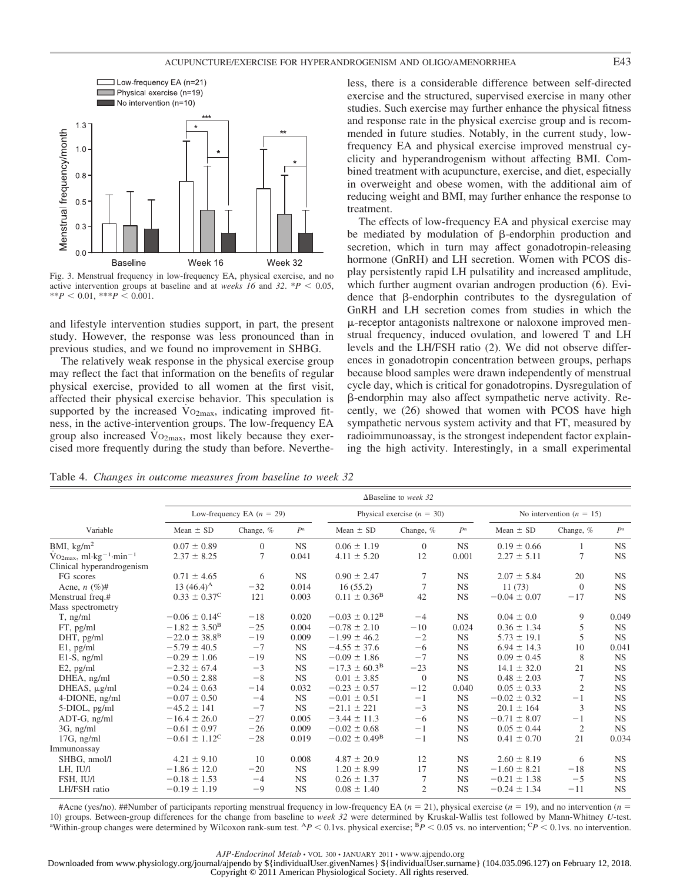

Fig. 3. Menstrual frequency in low-frequency EA, physical exercise, and no active intervention groups at baseline and at *weeks 16* and 32.  $*P < 0.05$ ,  $*$ *\*P*  $\leq$  0.01, \*\*\**P*  $\leq$  0.001.

and lifestyle intervention studies support, in part, the present study. However, the response was less pronounced than in previous studies, and we found no improvement in SHBG.

The relatively weak response in the physical exercise group may reflect the fact that information on the benefits of regular physical exercise, provided to all women at the first visit, affected their physical exercise behavior. This speculation is supported by the increased  $Vo_{2max}$ , indicating improved fitness, in the active-intervention groups. The low-frequency EA group also increased  $Vo_{2max}$ , most likely because they exercised more frequently during the study than before. Nevertheless, there is a considerable difference between self-directed exercise and the structured, supervised exercise in many other studies. Such exercise may further enhance the physical fitness and response rate in the physical exercise group and is recommended in future studies. Notably, in the current study, lowfrequency EA and physical exercise improved menstrual cyclicity and hyperandrogenism without affecting BMI. Combined treatment with acupuncture, exercise, and diet, especially in overweight and obese women, with the additional aim of reducing weight and BMI, may further enhance the response to treatment.

The effects of low-frequency EA and physical exercise may be mediated by modulation of  $\beta$ -endorphin production and secretion, which in turn may affect gonadotropin-releasing hormone (GnRH) and LH secretion. Women with PCOS display persistently rapid LH pulsatility and increased amplitude, which further augment ovarian androgen production (6). Evidence that  $\beta$ -endorphin contributes to the dysregulation of GnRH and LH secretion comes from studies in which the -receptor antagonists naltrexone or naloxone improved menstrual frequency, induced ovulation, and lowered T and LH levels and the LH/FSH ratio (2). We did not observe differences in gonadotropin concentration between groups, perhaps because blood samples were drawn independently of menstrual cycle day, which is critical for gonadotropins. Dysregulation of -endorphin may also affect sympathetic nerve activity. Recently, we (26) showed that women with PCOS have high sympathetic nervous system activity and that FT, measured by radioimmunoassay, is the strongest independent factor explaining the high activity. Interestingly, in a small experimental

Table 4. *Changes in outcome measures from baseline to week 32*

|                                                             |                               |                |             |                               | $\Delta$ Baseline to week 32 |             |                            |                |             |
|-------------------------------------------------------------|-------------------------------|----------------|-------------|-------------------------------|------------------------------|-------------|----------------------------|----------------|-------------|
| Variable                                                    | Low-frequency EA $(n = 29)$   |                |             | Physical exercise $(n = 30)$  |                              |             | No intervention $(n = 15)$ |                |             |
|                                                             | Mean $\pm$ SD                 | Change, %      | $P^{\rm a}$ | Mean $\pm$ SD                 | Change, %                    | $P^{\rm a}$ | Mean $\pm$ SD              | Change, %      | $P^{\rm a}$ |
| BMI, $\text{kg/m}^2$                                        | $0.07 \pm 0.89$               | $\overline{0}$ | <b>NS</b>   | $0.06 \pm 1.19$               | $\theta$                     | <b>NS</b>   | $0.19 \pm 0.66$            | 1              | <b>NS</b>   |
| $\rm V_{O_{2max}}$ , ml·kg <sup>-1</sup> ·min <sup>-1</sup> | $2.37 \pm 8.25$               | 7              | 0.041       | $4.11 \pm 5.20$               | 12                           | 0.001       | $2.27 \pm 5.11$            | 7              | <b>NS</b>   |
| Clinical hyperandrogenism                                   |                               |                |             |                               |                              |             |                            |                |             |
| FG scores                                                   | $0.71 \pm 4.65$               | 6              | <b>NS</b>   | $0.90 \pm 2.47$               | 7                            | <b>NS</b>   | $2.07 \pm 5.84$            | 20             | <b>NS</b>   |
| Acne, $n$ (%)#                                              | 13 $(46.4)^A$                 | $-32$          | 0.014       | 16(55.2)                      | 7                            | <b>NS</b>   | 11(73)                     | $\overline{0}$ | <b>NS</b>   |
| Menstrual freq.#                                            | $0.33 \pm 0.37^{\circ}$       | 121            | 0.003       | $0.11 \pm 0.36^{\rm B}$       | 42                           | <b>NS</b>   | $-0.04 \pm 0.07$           | $-17$          | <b>NS</b>   |
| Mass spectrometry                                           |                               |                |             |                               |                              |             |                            |                |             |
| $T$ , ng/ml                                                 | $-0.06 \pm 0.14^{\circ}$      | $-18$          | 0.020       | $-0.03 \pm 0.12^{\rm B}$      | $-4$                         | <b>NS</b>   | $0.04 \pm 0.0$             | 9              | 0.049       |
| FT, pg/ml                                                   | $-1.82 \pm 3.50^{\rm B}$      | $-25$          | 0.004       | $-0.78 \pm 2.10$              | $-10$                        | 0.024       | $0.36 \pm 1.34$            | 5              | <b>NS</b>   |
| $DHT$ , $pg/ml$                                             | $-22.0 \pm 38.8$ <sup>B</sup> | $-19$          | 0.009       | $-1.99 \pm 46.2$              | $-2$                         | <b>NS</b>   | $5.73 \pm 19.1$            | 5              | <b>NS</b>   |
| $E1$ , pg/ml                                                | $-5.79 \pm 40.5$              | $-7$           | NS.         | $-4.55 \pm 37.6$              | $-6$                         | <b>NS</b>   | $6.94 \pm 14.3$            | 10             | 0.041       |
| $E1-S$ , ng/ml                                              | $-0.29 \pm 1.06$              | $-19$          | <b>NS</b>   | $-0.09 \pm 1.86$              | $-7$                         | <b>NS</b>   | $0.09 \pm 0.45$            | 8              | <b>NS</b>   |
| $E2$ , pg/ml                                                | $-2.32 \pm 67.4$              | $-3$           | <b>NS</b>   | $-17.3 \pm 60.3^{\circ}$      | $-23$                        | <b>NS</b>   | $14.1 \pm 32.0$            | 21             | <b>NS</b>   |
| DHEA, ng/ml                                                 | $-0.50 \pm 2.88$              | $-8$           | <b>NS</b>   | $0.01 \pm 3.85$               | $\theta$                     | <b>NS</b>   | $0.48 \pm 2.03$            | 7              | <b>NS</b>   |
| DHEAS, $\mu$ g/ml                                           | $-0.24 \pm 0.63$              | $-14$          | 0.032       | $-0.23 \pm 0.57$              | $-12$                        | 0.040       | $0.05 \pm 0.33$            | $\mathfrak{2}$ | <b>NS</b>   |
| 4-DIONE, ng/ml                                              | $-0.07 \pm 0.50$              | $-4$           | <b>NS</b>   | $-0.01 \pm 0.51$              | $-1$                         | <b>NS</b>   | $-0.02 \pm 0.32$           | $-1$           | <b>NS</b>   |
| 5-DIOL, pg/ml                                               | $-45.2 \pm 141$               | $-7$           | <b>NS</b>   | $-21.1 \pm 221$               | $-3$                         | <b>NS</b>   | $20.1 \pm 164$             | 3              | <b>NS</b>   |
| ADT-G, ng/ml                                                | $-16.4 \pm 26.0$              | $-27$          | 0.005       | $-3.44 \pm 11.3$              | $-6$                         | <b>NS</b>   | $-0.71 \pm 8.07$           | $-1$           | <b>NS</b>   |
| $3G$ , ng/ml                                                | $-0.61 \pm 0.97$              | $-26$          | 0.009       | $-0.02 \pm 0.68$              | $-1$                         | <b>NS</b>   | $0.05 \pm 0.44$            | $\overline{c}$ | <b>NS</b>   |
| $17G$ , ng/ml                                               | $-0.61 \pm 1.12^{\circ}$      | $-28$          | 0.019       | $-0.02 \pm 0.49$ <sup>B</sup> | $-1$                         | <b>NS</b>   | $0.41 \pm 0.70$            | 21             | 0.034       |
| Immunoassay                                                 |                               |                |             |                               |                              |             |                            |                |             |
| SHBG, nmol/l                                                | $4.21 \pm 9.10$               | 10             | 0.008       | $4.87 \pm 20.9$               | 12                           | <b>NS</b>   | $2.60 \pm 8.19$            | 6              | <b>NS</b>   |
| LH, IU/l                                                    | $-1.86 \pm 12.0$              | $-20$          | <b>NS</b>   | $1.20 \pm 8.99$               | 17                           | <b>NS</b>   | $-1.60 \pm 8.21$           | $-18$          | <b>NS</b>   |
| FSH, IU/I                                                   | $-0.18 \pm 1.53$              | $-4$           | <b>NS</b>   | $0.26 \pm 1.37$               | 7                            | <b>NS</b>   | $-0.21 \pm 1.38$           | $-5$           | <b>NS</b>   |
| LH/FSH ratio                                                | $-0.19 \pm 1.19$              | $-9$           | <b>NS</b>   | $0.08 \pm 1.40$               | $\overline{2}$               | <b>NS</b>   | $-0.24 \pm 1.34$           | $-11$          | <b>NS</b>   |

#Acne (yes/no). ##Number of participants reporting menstrual frequency in low-frequency EA ( $n = 21$ ), physical exercise ( $n = 19$ ), and no intervention ( $n = 19$ ) 10) groups. Between-group differences for the change from baseline to *week 32* were determined by Kruskal-Wallis test followed by Mann-Whitney *<sup>U</sup>*-test. <sup>a</sup> <sup>a</sup>Within-group changes were determined by Wilcoxon rank-sum test.  $^{\text{A}}P$  < 0.1vs. physical exercise;  $^{\text{B}}P$  < 0.05 vs. no intervention;  $^{\text{C}}P$  < 0.1vs. no intervention.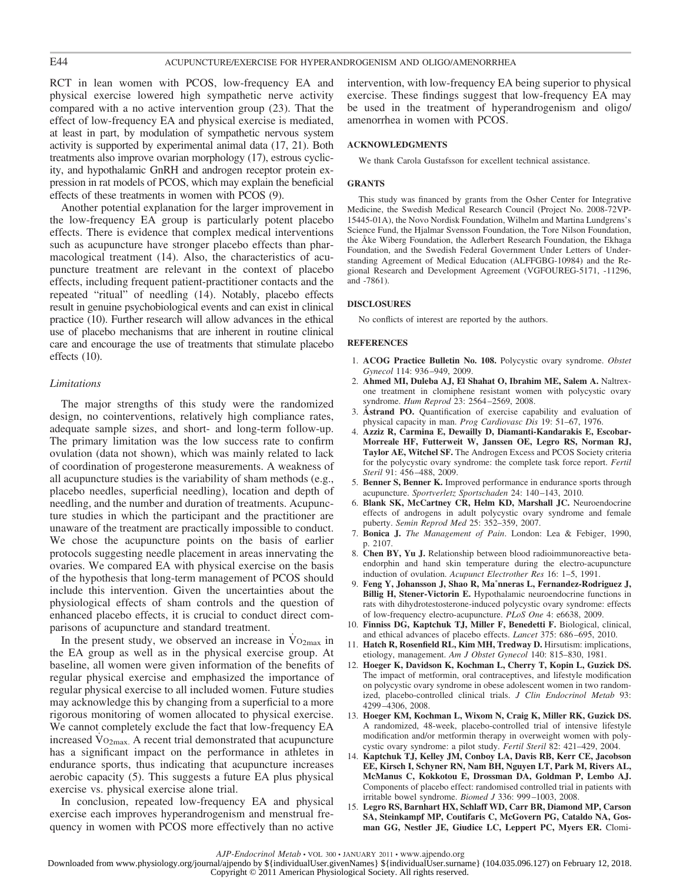RCT in lean women with PCOS, low-frequency EA and physical exercise lowered high sympathetic nerve activity compared with a no active intervention group (23). That the effect of low-frequency EA and physical exercise is mediated, at least in part, by modulation of sympathetic nervous system activity is supported by experimental animal data (17, 21). Both treatments also improve ovarian morphology (17), estrous cyclicity, and hypothalamic GnRH and androgen receptor protein expression in rat models of PCOS, which may explain the beneficial effects of these treatments in women with PCOS (9).

Another potential explanation for the larger improvement in the low-frequency EA group is particularly potent placebo effects. There is evidence that complex medical interventions such as acupuncture have stronger placebo effects than pharmacological treatment (14). Also, the characteristics of acupuncture treatment are relevant in the context of placebo effects, including frequent patient-practitioner contacts and the repeated "ritual" of needling (14). Notably, placebo effects result in genuine psychobiological events and can exist in clinical practice (10). Further research will allow advances in the ethical use of placebo mechanisms that are inherent in routine clinical care and encourage the use of treatments that stimulate placebo effects (10).

### *Limitations*

The major strengths of this study were the randomized design, no cointerventions, relatively high compliance rates, adequate sample sizes, and short- and long-term follow-up. The primary limitation was the low success rate to confirm ovulation (data not shown), which was mainly related to lack of coordination of progesterone measurements. A weakness of all acupuncture studies is the variability of sham methods (e.g., placebo needles, superficial needling), location and depth of needling, and the number and duration of treatments. Acupuncture studies in which the participant and the practitioner are unaware of the treatment are practically impossible to conduct. We chose the acupuncture points on the basis of earlier protocols suggesting needle placement in areas innervating the ovaries. We compared EA with physical exercise on the basis of the hypothesis that long-term management of PCOS should include this intervention. Given the uncertainties about the physiological effects of sham controls and the question of enhanced placebo effects, it is crucial to conduct direct comparisons of acupuncture and standard treatment.

In the present study, we observed an increase in  $Vo_{2max}$  in the EA group as well as in the physical exercise group. At baseline, all women were given information of the benefits of regular physical exercise and emphasized the importance of regular physical exercise to all included women. Future studies may acknowledge this by changing from a superficial to a more rigorous monitoring of women allocated to physical exercise. We cannot completely exclude the fact that low-frequency EA increased  $Vo_{2max}$ . A recent trial demonstrated that acupuncture has a significant impact on the performance in athletes in endurance sports, thus indicating that acupuncture increases aerobic capacity (5). This suggests a future EA plus physical exercise vs. physical exercise alone trial.

In conclusion, repeated low-frequency EA and physical exercise each improves hyperandrogenism and menstrual frequency in women with PCOS more effectively than no active intervention, with low-frequency EA being superior to physical exercise. These findings suggest that low-frequency EA may be used in the treatment of hyperandrogenism and oligo/ amenorrhea in women with PCOS.

### **ACKNOWLEDGMENTS**

We thank Carola Gustafsson for excellent technical assistance.

### **GRANTS**

This study was financed by grants from the Osher Center for Integrative Medicine, the Swedish Medical Research Council (Project No. 2008-72VP-15445-01A), the Novo Nordisk Foundation, Wilhelm and Martina Lundgrens's Science Fund, the Hjalmar Svensson Foundation, the Tore Nilson Foundation, the Åke Wiberg Foundation, the Adlerbert Research Foundation, the Ekhaga Foundation, and the Swedish Federal Government Under Letters of Understanding Agreement of Medical Education (ALFFGBG-10984) and the Regional Research and Development Agreement (VGFOUREG-5171, -11296, and -7861).

### **DISCLOSURES**

No conflicts of interest are reported by the authors.

### **REFERENCES**

- 1. **ACOG Practice Bulletin No. 108.** Polycystic ovary syndrome. *Obstet Gynecol* 114: 936 –949, 2009.
- 2. **Ahmed MI, Duleba AJ, El Shahat O, Ibrahim ME, Salem A.** Naltrexone treatment in clomiphene resistant women with polycystic ovary syndrome. *Hum Reprod* 23: 2564 –2569, 2008.
- 3. **Åstrand PO.** Quantification of exercise capability and evaluation of physical capacity in man. *Prog Cardiovasc Dis* 19: 51–67, 1976.
- 4. **Azziz R, Carmina E, Dewailly D, Diamanti-Kandarakis E, Escobar-Morreale HF, Futterweit W, Janssen OE, Legro RS, Norman RJ, Taylor AE, Witchel SF.** The Androgen Excess and PCOS Society criteria for the polycystic ovary syndrome: the complete task force report. *Fertil Steril* 91: 456 –488, 2009.
- 5. **Benner S, Benner K.** Improved performance in endurance sports through acupuncture. *Sportverletz Sportschaden* 24: 140 –143, 2010.
- 6. **Blank SK, McCartney CR, Helm KD, Marshall JC.** Neuroendocrine effects of androgens in adult polycystic ovary syndrome and female puberty. *Semin Reprod Med* 25: 352–359, 2007.
- 7. **Bonica J.** *The Management of Pain*. London: Lea & Febiger, 1990, p. 2107.
- 8. **Chen BY, Yu J.** Relationship between blood radioimmunoreactive betaendorphin and hand skin temperature during the electro-acupuncture induction of ovulation. *Acupunct Electrother Res* 16: 1–5, 1991.
- 9. **Feng Y, Johansson J, Shao R, Ma˚nneras L, Fernandez-Rodriguez J, Billig H, Stener-Victorin E.** Hypothalamic neuroendocrine functions in rats with dihydrotestosterone-induced polycystic ovary syndrome: effects of low-frequency electro-acupuncture. *PLoS One* 4: e6638, 2009.
- 10. **Finniss DG, Kaptchuk TJ, Miller F, Benedetti F.** Biological, clinical, and ethical advances of placebo effects. *Lancet* 375: 686 –695, 2010.
- 11. **Hatch R, Rosenfield RL, Kim MH, Tredway D.** Hirsutism: implications, etiology, management. *Am J Obstet Gynecol* 140: 815–830, 1981.
- 12. **Hoeger K, Davidson K, Kochman L, Cherry T, Kopin L, Guzick DS.** The impact of metformin, oral contraceptives, and lifestyle modification on polycystic ovary syndrome in obese adolescent women in two randomized, placebo-controlled clinical trials. *J Clin Endocrinol Metab* 93: 4299 –4306, 2008.
- 13. **Hoeger KM, Kochman L, Wixom N, Craig K, Miller RK, Guzick DS.** A randomized, 48-week, placebo-controlled trial of intensive lifestyle modification and/or metformin therapy in overweight women with polycystic ovary syndrome: a pilot study. *Fertil Steril* 82: 421–429, 2004.
- 14. **Kaptchuk TJ, Kelley JM, Conboy LA, Davis RB, Kerr CE, Jacobson EE, Kirsch I, Schyner RN, Nam BH, Nguyen LT, Park M, Rivers AL, McManus C, Kokkotou E, Drossman DA, Goldman P, Lembo AJ.** Components of placebo effect: randomised controlled trial in patients with irritable bowel syndrome. *Biomed J* 336: 999 –1003, 2008.
- 15. **Legro RS, Barnhart HX, Schlaff WD, Carr BR, Diamond MP, Carson SA, Steinkampf MP, Coutifaris C, McGovern PG, Cataldo NA, Gosman GG, Nestler JE, Giudice LC, Leppert PC, Myers ER.** Clomi-

Downloaded from www.physiology.org/journal/ajpendo by \${individualUser.givenNames} \${individualUser.surname} (104.035.096.127) on February 12, 2018.

*AJP-Endocrinol Metab* • VOL 300 • JANUARY 2011 • www.ajpendo.org